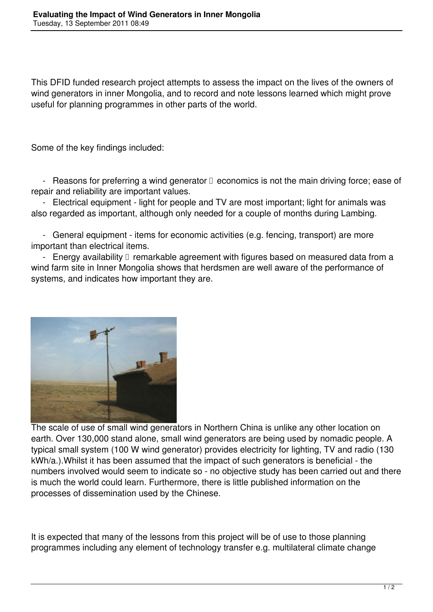This DFID funded research project attempts to assess the impact on the lives of the owners of wind generators in inner Mongolia, and to record and note lessons learned which might prove useful for planning programmes in other parts of the world.

Some of the key findings included:

- Reasons for preferring a wind generator  $\Box$  economics is not the main driving force; ease of repair and reliability are important values.

 - Electrical equipment - light for people and TV are most important; light for animals was also regarded as important, although only needed for a couple of months during Lambing.

 - General equipment - items for economic activities (e.g. fencing, transport) are more important than electrical items.

- Energy availability  $\Box$  remarkable agreement with figures based on measured data from a wind farm site in Inner Mongolia shows that herdsmen are well aware of the performance of systems, and indicates how important they are.



The scale of use of small wind generators in Northern China is unlike any other location on earth. Over 130,000 stand alone, small wind generators are being used by nomadic people. A typical small system (100 W wind generator) provides electricity for lighting, TV and radio (130 kWh/a.).Whilst it has been assumed that the impact of such generators is beneficial - the numbers involved would seem to indicate so - no objective study has been carried out and there is much the world could learn. Furthermore, there is little published information on the processes of dissemination used by the Chinese.

It is expected that many of the lessons from this project will be of use to those planning programmes including any element of technology transfer e.g. multilateral climate change